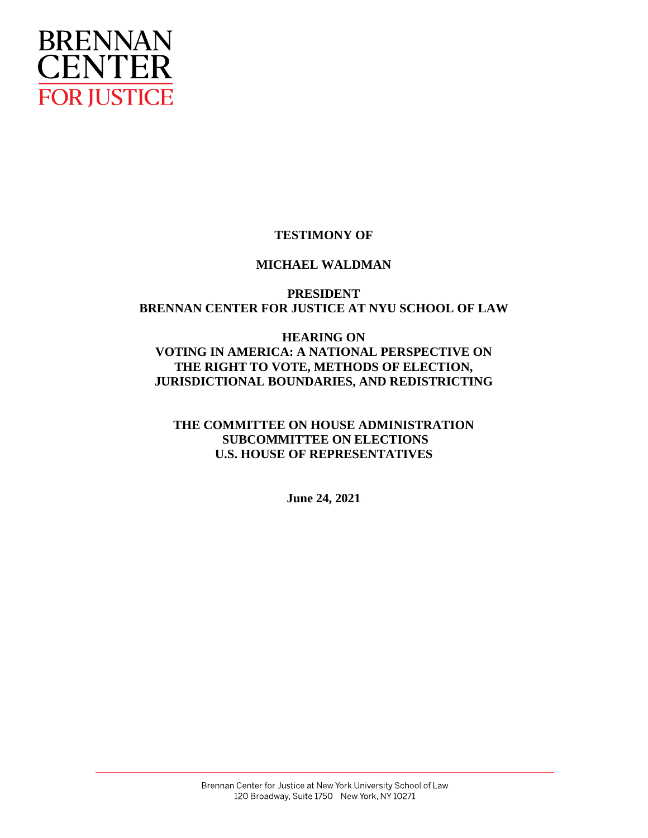

# **TESTIMONY OF**

## **MICHAEL WALDMAN**

## **PRESIDENT BRENNAN CENTER FOR JUSTICE AT NYU SCHOOL OF LAW**

## **HEARING ON VOTING IN AMERICA: A NATIONAL PERSPECTIVE ON THE RIGHT TO VOTE, METHODS OF ELECTION, JURISDICTIONAL BOUNDARIES, AND REDISTRICTING**

# **THE COMMITTEE ON HOUSE ADMINISTRATION SUBCOMMITTEE ON ELECTIONS U.S. HOUSE OF REPRESENTATIVES**

**June 24, 2021**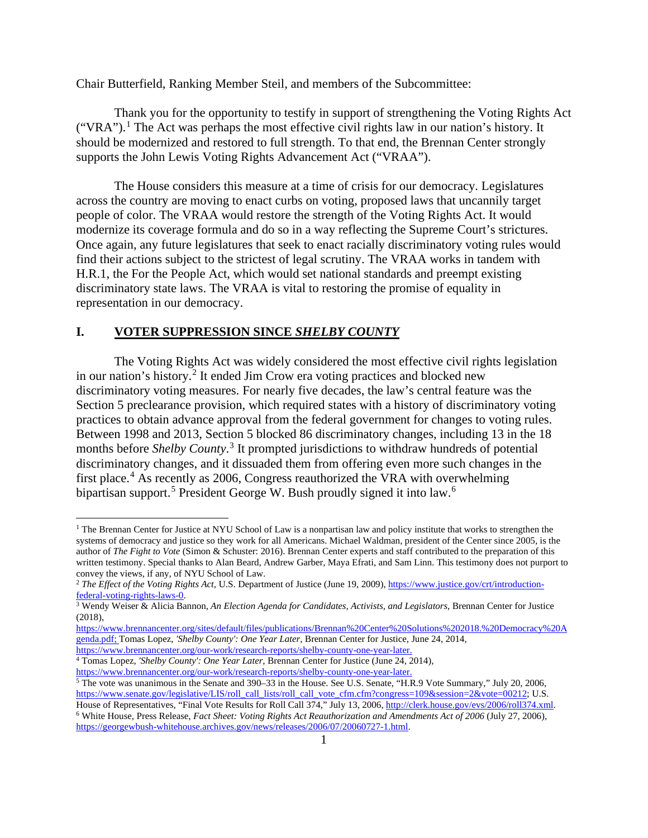Chair Butterfield, Ranking Member Steil, and members of the Subcommittee:

Thank you for the opportunity to testify in support of strengthening the Voting Rights Act ("VRA").<sup>[1](#page-1-0)</sup> The Act was perhaps the most effective civil rights law in our nation's history. It should be modernized and restored to full strength. To that end, the Brennan Center strongly supports the John Lewis Voting Rights Advancement Act ("VRAA").

The House considers this measure at a time of crisis for our democracy. Legislatures across the country are moving to enact curbs on voting, proposed laws that uncannily target people of color. The VRAA would restore the strength of the Voting Rights Act. It would modernize its coverage formula and do so in a way reflecting the Supreme Court's strictures. Once again, any future legislatures that seek to enact racially discriminatory voting rules would find their actions subject to the strictest of legal scrutiny. The VRAA works in tandem with H.R.1, the For the People Act, which would set national standards and preempt existing discriminatory state laws. The VRAA is vital to restoring the promise of equality in representation in our democracy.

## **I. VOTER SUPPRESSION SINCE** *SHELBY COUNTY*

The Voting Rights Act was widely considered the most effective civil rights legislation in our nation's history.[2](#page-1-1) It ended Jim Crow era voting practices and blocked new discriminatory voting measures. For nearly five decades, the law's central feature was the Section 5 preclearance provision, which required states with a history of discriminatory voting practices to obtain advance approval from the federal government for changes to voting rules. Between 1998 and 2013, Section 5 blocked 86 discriminatory changes, including 13 in the 18 months before *Shelby County*. [3](#page-1-2) It prompted jurisdictions to withdraw hundreds of potential discriminatory changes, and it dissuaded them from offering even more such changes in the first place.<sup>[4](#page-1-3)</sup> As recently as 2006, Congress reauthorized the VRA with overwhelming bipartisan support.<sup>[5](#page-1-4)</sup> President George W. Bush proudly signed it into law.<sup>[6](#page-1-5)</sup>

<span id="page-1-0"></span><sup>&</sup>lt;sup>1</sup> The Brennan Center for Justice at NYU School of Law is a nonpartisan law and policy institute that works to strengthen the systems of democracy and justice so they work for all Americans. Michael Waldman, president of the Center since 2005, is the author of *The Fight to Vote* (Simon & Schuster: 2016). Brennan Center experts and staff contributed to the preparation of this written testimony. Special thanks to Alan Beard, Andrew Garber, Maya Efrati, and Sam Linn. This testimony does not purport to convey the views, if any, of NYU School of Law.

<span id="page-1-1"></span><sup>&</sup>lt;sup>2</sup> *The Effect of the Voting Rights Act*, U.S. Department of Justice (June 19, 2009), https://www.justice.gov/crt/introduction-federal-voting-rights-laws-0.

<span id="page-1-2"></span><sup>&</sup>lt;sup>3</sup> Wendy Weiser & Alicia Bannon, *An Election Agenda for Candidates, Activists, and Legislators*, Brennan Center for Justice (2018),

[https://www.brennancenter.org/sites/default/files/publications/Brennan%20Center%20Solutions%202018.%20Democracy%20A](https://www.brennancenter.org/sites/default/files/publications/Brennan%20Center%20Solutions%202018.%20Democracy%20Agenda.pdf) [genda.pdf;](https://www.brennancenter.org/sites/default/files/publications/Brennan%20Center%20Solutions%202018.%20Democracy%20Agenda.pdf) Tomas Lopez, *'Shelby County': One Year Later*, Brennan Center for Justice, June 24, 2014,

[https://www.brennancenter.org/our-work/research-reports/shelby-county-one-year-later.](https://www.brennancenter.org/our-work/research-reports/shelby-county-one-year-later)

<span id="page-1-3"></span><sup>4</sup> Tomas Lopez, *'Shelby County': One Year Later*, Brennan Center for Justice (June 24, 2014),

[https://www.brennancenter.org/our-work/research-reports/shelby-county-one-year-later.](https://www.brennancenter.org/our-work/research-reports/shelby-county-one-year-later)

<span id="page-1-4"></span> $\frac{5}{3}$  The vote was unanimous in the Senate and 390–33 in the House. See U.S. Senate, "H.R.9 Vote Summary," July 20, 2006, [https://www.senate.gov/legislative/LIS/roll\\_call\\_lists/roll\\_call\\_vote\\_cfm.cfm?congress=109&session=2&vote=00212;](https://www.senate.gov/legislative/LIS/roll_call_lists/roll_call_vote_cfm.cfm?congress=109&session=2&vote=00212) U.S.<br>House of Representatives, "Final Vote Results for Roll Call 374," July 13, 2006, http://clerk.house.gov/

<span id="page-1-5"></span><sup>&</sup>lt;sup>6</sup> White House, Press Release, Fact Sheet: Voting Rights Act Reauthorization and Amendments Act of 2006 (July 27, 2006), [https://georgewbush-whitehouse.archives.gov/news/releases/2006/07/20060727-1.html.](https://georgewbush-whitehouse.archives.gov/news/releases/2006/07/20060727-1.html)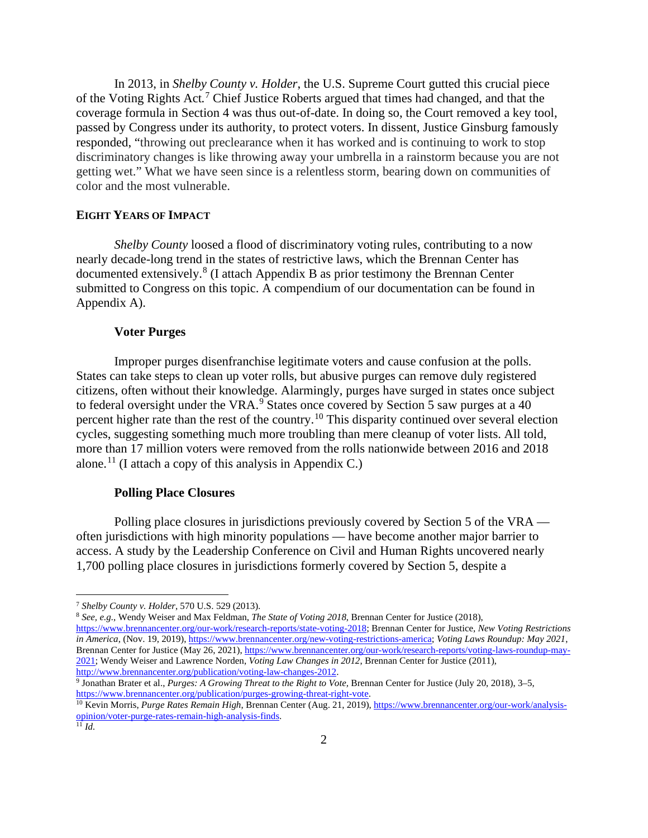In 2013, in *Shelby County v. Holder*, the U.S. Supreme Court gutted this crucial piece of the Voting Rights Act*.* [7](#page-2-0) Chief Justice Roberts argued that times had changed, and that the coverage formula in Section 4 was thus out-of-date. In doing so, the Court removed a key tool, passed by Congress under its authority, to protect voters. In dissent, Justice Ginsburg famously responded, "throwing out preclearance when it has worked and is continuing to work to stop discriminatory changes is like throwing away your umbrella in a rainstorm because you are not getting wet." What we have seen since is a relentless storm, bearing down on communities of color and the most vulnerable.

## **EIGHT YEARS OF IMPACT**

*Shelby County* loosed a flood of discriminatory voting rules, contributing to a now nearly decade-long trend in the states of restrictive laws, which the Brennan Center has documented extensively.<sup>[8](#page-2-1)</sup> (I attach Appendix B as prior testimony the Brennan Center submitted to Congress on this topic. A compendium of our documentation can be found in Appendix A).

## **Voter Purges**

Improper purges disenfranchise legitimate voters and cause confusion at the polls. States can take steps to clean up voter rolls, but abusive purges can remove duly registered citizens, often without their knowledge. Alarmingly, purges have surged in states once subject to federal oversight under the VRA. $9$  States once covered by Section 5 saw purges at a 40 percent higher rate than the rest of the country.[10](#page-2-3) This disparity continued over several election cycles, suggesting something much more troubling than mere cleanup of voter lists. All told, more than 17 million voters were removed from the rolls nationwide between 2016 and 2018 alone.<sup>[11](#page-2-4)</sup> (I attach a copy of this analysis in Appendix C.)

#### **Polling Place Closures**

Polling place closures in jurisdictions previously covered by Section 5 of the VRA often jurisdictions with high minority populations — have become another major barrier to access. A study by the Leadership Conference on Civil and Human Rights uncovered nearly 1,700 polling place closures in jurisdictions formerly covered by Section 5, despite a

<span id="page-2-1"></span><sup>8</sup> *See, e.g.*, Wendy Weiser and Max Feldman, *The State of Voting 2018*, Brennan Center for Justice (2018), [https://www.brennancenter.org/our-work/research-reports/state-voting-2018;](https://www.brennancenter.org/our-work/research-reports/state-voting-2018) Brennan Center for Justice, *New Voting Restrictions in America*, (Nov. 19, 2019)[, https://www.brennancenter.org/new-voting-restrictions-america;](https://www.brennancenter.org/new-voting-restrictions-america) *Voting Laws Roundup: May 2021*, Brennan Center for Justice (May 26, 2021)[, https://www.brennancenter.org/our-work/research-reports/voting-laws-roundup-may-](https://www.brennancenter.org/our-work/research-reports/voting-laws-roundup-may-2021)[2021;](https://www.brennancenter.org/our-work/research-reports/voting-laws-roundup-may-2021) Wendy Weiser and Lawrence Norden, *Voting Law Changes in 2012*, Brennan Center for Justice (2011), [http://www.brennancenter.org/publication/voting-law-changes-2012.](http://www.brennancenter.org/publication/voting-law-changes-2012)

<span id="page-2-0"></span><sup>7</sup> *Shelby County v. Holder*, 570 U.S. 529 (2013).

<span id="page-2-2"></span><sup>9</sup> Jonathan Brater et al., *Purges: A Growing Threat to the Right to Vote,* Brennan Center for Justice (July 20, 2018), 3–5, [https://www.brennancenter.org/publication/purges-growing-threat-right-vote.](https://www.brennancenter.org/publication/purges-growing-threat-right-vote)

<span id="page-2-3"></span><sup>&</sup>lt;sup>10</sup> Kevin Morris, *Purge Rates Remain High*, Brennan Center (Aug. 21, 2019)[, https://www.brennancenter.org/our-work/analysis](https://www.brennancenter.org/our-work/analysis-opinion/voter-purge-rates-remain-high-analysis-finds)[opinion/voter-purge-rates-remain-high-analysis-finds.](https://www.brennancenter.org/our-work/analysis-opinion/voter-purge-rates-remain-high-analysis-finds)

<span id="page-2-4"></span> $^{11}$  *Id.*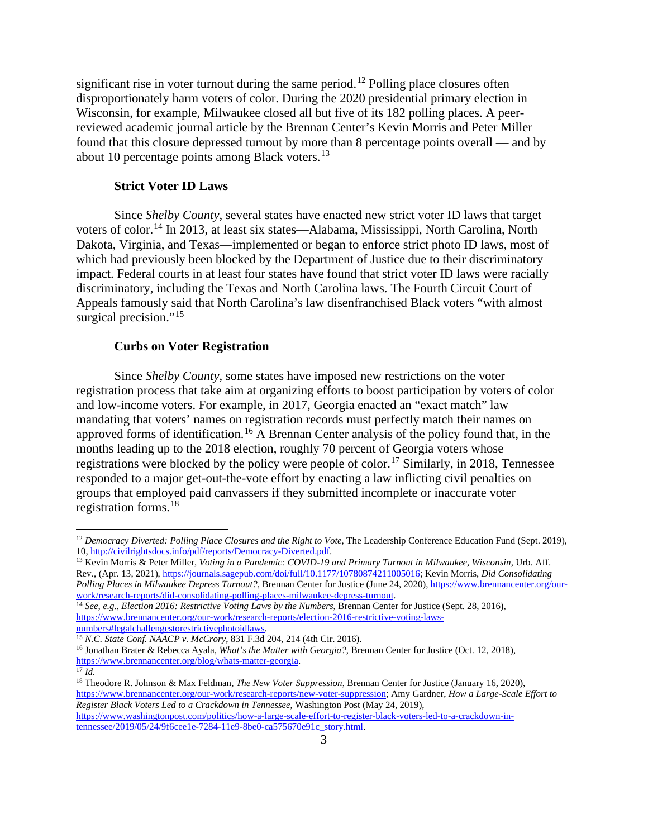significant rise in voter turnout during the same period.<sup>[12](#page-3-0)</sup> Polling place closures often disproportionately harm voters of color. During the 2020 presidential primary election in Wisconsin, for example, Milwaukee closed all but five of its 182 polling places. A peerreviewed academic journal article by the Brennan Center's Kevin Morris and Peter Miller found that this closure depressed turnout by more than 8 percentage points overall — and by about 10 percentage points among Black voters.<sup>[13](#page-3-1)</sup>

#### **Strict Voter ID Laws**

Since *Shelby County*, several states have enacted new strict voter ID laws that target voters of color.[14](#page-3-2) In 2013, at least six states—Alabama, Mississippi, North Carolina, North Dakota, Virginia, and Texas—implemented or began to enforce strict photo ID laws, most of which had previously been blocked by the Department of Justice due to their discriminatory impact. Federal courts in at least four states have found that strict voter ID laws were racially discriminatory, including the Texas and North Carolina laws. The Fourth Circuit Court of Appeals famously said that North Carolina's law disenfranchised Black voters "with almost surgical precision."<sup>[15](#page-3-3)</sup>

#### **Curbs on Voter Registration**

Since *Shelby County*, some states have imposed new restrictions on the voter registration process that take aim at organizing efforts to boost participation by voters of color and low-income voters. For example, in 2017, Georgia enacted an "exact match" law mandating that voters' names on registration records must perfectly match their names on approved forms of identification.<sup>[16](#page-3-4)</sup> A Brennan Center analysis of the policy found that, in the months leading up to the 2018 election, roughly 70 percent of Georgia voters whose registrations were blocked by the policy were people of color.<sup>[17](#page-3-5)</sup> Similarly, in 2018, Tennessee responded to a major get-out-the-vote effort by enacting a law inflicting civil penalties on groups that employed paid canvassers if they submitted incomplete or inaccurate voter registration forms.[18](#page-3-6)

<span id="page-3-0"></span><sup>&</sup>lt;sup>12</sup> *Democracy Diverted: Polling Place Closures and the Right to Vote*, The Leadership Conference Education Fund (Sept. 2019), 10, http://civilrightsdocs.info/pdf/reports/Democracy-Diverted.pdf.

<span id="page-3-1"></span><sup>&</sup>lt;sup>13</sup> Kevin Morris & Peter Miller, *Voting in a Pandemic: COVID-19 and Primary Turnout in Milwaukee, Wisconsin*, Urb. Aff. Rev., (Apr. 13, 2021)[, https://journals.sagepub.com/doi/full/10.1177/10780874211005016;](https://journals.sagepub.com/doi/full/10.1177/10780874211005016) Kevin Morris, *Did Consolidating Polling Places in Milwaukee Depress Turnout?*, Brennan Center for Justice (June 24, 2020), https://www.brennancenter.org/our-work/research-reports/did-consolidating-polling-places-milwaukee-depress-turnout.

<span id="page-3-2"></span><sup>&</sup>lt;sup>14</sup> See, e.g., *Election 2016: Restrictive Voting Laws by the Numbers*, Brennan Center for Justice (Sept. 28, 2016), [https://www.brennancenter.org/our-work/research-reports/election-2016-restrictive-voting-laws-](https://www.brennancenter.org/our-work/research-reports/election-2016-restrictive-voting-laws-numbers#legalchallengestorestrictivephotoidlaws)

<span id="page-3-3"></span><sup>&</sup>lt;sup>15</sup> *N.C. State Conf. NAACP v. McCrory*, 831 F.3d 204, 214 (4th Cir. 2016).

<span id="page-3-4"></span><sup>16</sup> Jonathan Brater & Rebecca Ayala, *What's the Matter with Georgia?*, Brennan Center for Justice (Oct. 12, 2018), [https://www.brennancenter.org/blog/whats-matter-georgia.](https://www.brennancenter.org/blog/whats-matter-georgia) 17 *Id.*

<span id="page-3-6"></span><span id="page-3-5"></span><sup>18</sup> Theodore R. Johnson & Max Feldman, *The New Voter Suppression*, Brennan Center for Justice (January 16, 2020), [https://www.brennancenter.org/our-work/research-reports/new-voter-suppression;](https://www.brennancenter.org/our-work/research-reports/new-voter-suppression) Amy Gardner, *How a Large-Scale Effort to Register Black Voters Led to a Crackdown in Tennessee*, Washington Post (May 24, 2019), [https://www.washingtonpost.com/politics/how-a-large-scale-effort-to-register-black-voters-led-to-a-crackdown-in-](https://www.washingtonpost.com/politics/how-a-large-scale-effort-to-register-black-voters-led-to-a-crackdown-in-tennessee/2019/05/24/9f6cee1e-7284-11e9-8be0-ca575670e91c_story.html)

[tennessee/2019/05/24/9f6cee1e-7284-11e9-8be0-ca575670e91c\\_story.html.](https://www.washingtonpost.com/politics/how-a-large-scale-effort-to-register-black-voters-led-to-a-crackdown-in-tennessee/2019/05/24/9f6cee1e-7284-11e9-8be0-ca575670e91c_story.html)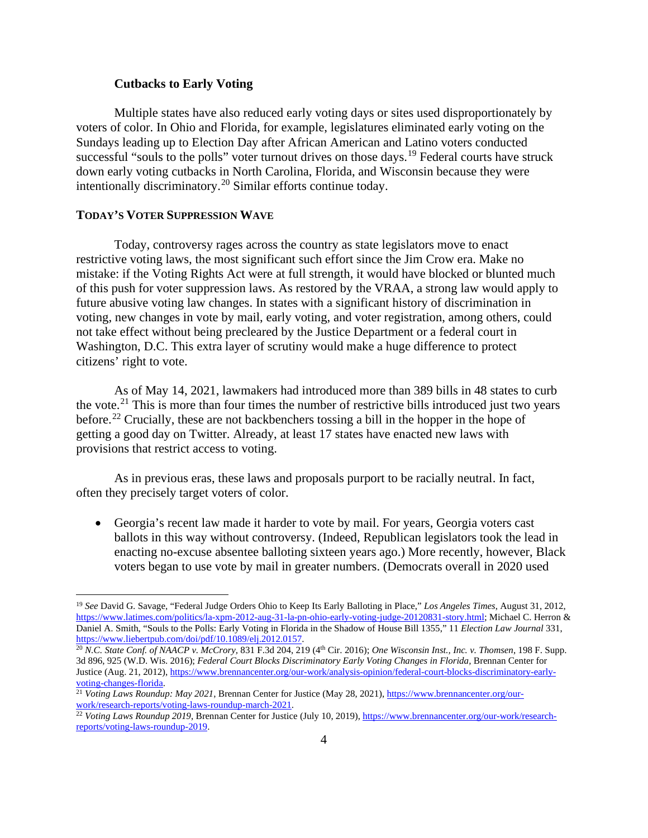### **Cutbacks to Early Voting**

Multiple states have also reduced early voting days or sites used disproportionately by voters of color. In Ohio and Florida, for example, legislatures eliminated early voting on the Sundays leading up to Election Day after African American and Latino voters conducted successful "souls to the polls" voter turnout drives on those days.<sup>[19](#page-4-0)</sup> Federal courts have struck down early voting cutbacks in North Carolina, Florida, and Wisconsin because they were intentionally discriminatory.[20](#page-4-1) Similar efforts continue today.

### **TODAY'S VOTER SUPPRESSION WAVE**

Today, controversy rages across the country as state legislators move to enact restrictive voting laws, the most significant such effort since the Jim Crow era. Make no mistake: if the Voting Rights Act were at full strength, it would have blocked or blunted much of this push for voter suppression laws. As restored by the VRAA, a strong law would apply to future abusive voting law changes. In states with a significant history of discrimination in voting, new changes in vote by mail, early voting, and voter registration, among others, could not take effect without being precleared by the Justice Department or a federal court in Washington, D.C. This extra layer of scrutiny would make a huge difference to protect citizens' right to vote.

As of May 14, 2021, lawmakers had introduced more than 389 bills in 48 states to curb the vote.<sup>[21](#page-4-2)</sup> This is more than four times the number of restrictive bills introduced just two years before.<sup>[22](#page-4-3)</sup> Crucially, these are not backbenchers tossing a bill in the hopper in the hope of getting a good day on Twitter. Already, at least 17 states have enacted new laws with provisions that restrict access to voting.

As in previous eras, these laws and proposals purport to be racially neutral. In fact, often they precisely target voters of color.

• Georgia's recent law made it harder to vote by mail. For years, Georgia voters cast ballots in this way without controversy. (Indeed, Republican legislators took the lead in enacting no-excuse absentee balloting sixteen years ago.) More recently, however, Black voters began to use vote by mail in greater numbers. (Democrats overall in 2020 used

<span id="page-4-0"></span><sup>19</sup> *See* David G. Savage, "Federal Judge Orders Ohio to Keep Its Early Balloting in Place," *Los Angeles Times*, August 31, 2012, [https://www.latimes.com/politics/la-xpm-2012-aug-31-la-pn-ohio-early-voting-judge-20120831-story.html;](https://www.latimes.com/politics/la-xpm-2012-aug-31-la-pn-ohio-early-voting-judge-20120831-story.html) Michael C. Herron & Daniel A. Smith, "Souls to the Polls: Early Voting in Florida in the Shadow of House Bill 1355," 11 *Election Law Journal* 331,

<span id="page-4-1"></span><sup>&</sup>lt;sup>20</sup> N.C. State Conf. of NAACP v. McCrory, 831 F.3d 204, 219 (4<sup>th</sup> Cir. 2016); *One Wisconsin Inst., Inc. v. Thomsen*, 198 F. Supp. 3d 896, 925 (W.D. Wis. 2016); *Federal Court Blocks Discriminatory Early Voting Changes in Florida,* Brennan Center for Justice (Aug. 21, 2012)[, https://www.brennancenter.org/our-work/analysis-opinion/federal-court-blocks-discriminatory-early](https://www.brennancenter.org/our-work/analysis-opinion/federal-court-blocks-discriminatory-early-voting-changes-florida)[voting-changes-florida.](https://www.brennancenter.org/our-work/analysis-opinion/federal-court-blocks-discriminatory-early-voting-changes-florida)

<span id="page-4-2"></span><sup>21</sup> *Voting Laws Roundup: May 2021*, Brennan Center for Justice (May 28, 2021)[, https://www.brennancenter.org/our](https://www.brennancenter.org/our-work/research-reports/voting-laws-roundup-march-2021)work/research-reports/voting-laws-roundup-march-2021.<br><sup>22</sup> *Voting Laws Roundup 2019*, Brennan Center for Justice (July 10, 2019), <u>https://www.brennancenter.org/our-work/research-</u>

<span id="page-4-3"></span>[reports/voting-laws-roundup-2019.](https://www.brennancenter.org/our-work/research-reports/voting-laws-roundup-2019)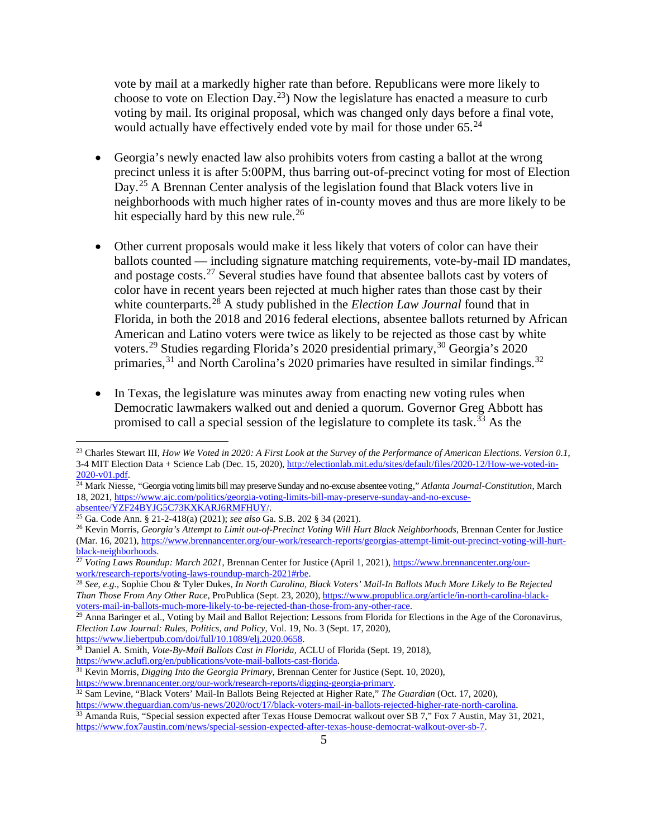vote by mail at a markedly higher rate than before. Republicans were more likely to choose to vote on Election Day.<sup>[23](#page-5-0)</sup>) Now the legislature has enacted a measure to curb voting by mail. Its original proposal, which was changed only days before a final vote, would actually have effectively ended vote by mail for those under  $65.^{24}$  $65.^{24}$  $65.^{24}$ 

- Georgia's newly enacted law also prohibits voters from casting a ballot at the wrong precinct unless it is after 5:00PM, thus barring out-of-precinct voting for most of Election Day.<sup>[25](#page-5-2)</sup> A Brennan Center analysis of the legislation found that Black voters live in neighborhoods with much higher rates of in-county moves and thus are more likely to be hit especially hard by this new rule.<sup>[26](#page-5-3)</sup>
- Other current proposals would make it less likely that voters of color can have their ballots counted — including signature matching requirements, vote-by-mail ID mandates, and postage costs.<sup>[27](#page-5-4)</sup> Several studies have found that absentee ballots cast by voters of color have in recent years been rejected at much higher rates than those cast by their white counterparts.<sup>[28](#page-5-5)</sup> A study published in the *Election Law Journal* found that in Florida, in both the 2018 and 2016 federal elections, absentee ballots returned by African American and Latino voters were twice as likely to be rejected as those cast by white voters.<sup>[29](#page-5-6)</sup> Studies regarding Florida's 2020 presidential primary,<sup>[30](#page-5-7)</sup> Georgia's 2020 primaries,<sup>[31](#page-5-8)</sup> and North Carolina's 2020 primaries have resulted in similar findings.<sup>[32](#page-5-9)</sup>
- In Texas, the legislature was minutes away from enacting new voting rules when Democratic lawmakers walked out and denied a quorum. Governor Greg Abbott has promised to call a special session of the legislature to complete its task.<sup> $33$ </sup> As the

<span id="page-5-8"></span>[https://www.aclufl.org/en/publications/vote-mail-ballots-cast-florida.](https://www.aclufl.org/en/publications/vote-mail-ballots-cast-florida)<br><sup>31</sup> Kevin Morris, *Digging Into the Georgia Primary*, Brennan Center for Justice (Sept. 10, 2020), https://www.brennancenter.org/our-work/research-rep

<span id="page-5-9"></span>32 Sam Levine, "Black Voters' Mail-In Ballots Being Rejected at Higher Rate," *The Guardian* (Oct. 17, 2020), https://www.theguardian.com/us-news/2020/oct/17/black-voters-mail-in-ballots-rejected-higher-rate-north-carolina

<span id="page-5-0"></span><sup>23</sup> Charles Stewart III, *How We Voted in 2020: A First Look at the Survey of the Performance of American Elections*. *Version 0.1*, 3-4 MIT Election Data + Science Lab (Dec. 15, 2020)[, http://electionlab.mit.edu/sites/default/files/2020-12/How-we-voted-in-](http://electionlab.mit.edu/sites/default/files/2020-12/How-we-voted-in-2020-v01.pdf)[2020-v01.pdf.](http://electionlab.mit.edu/sites/default/files/2020-12/How-we-voted-in-2020-v01.pdf)

<span id="page-5-1"></span><sup>&</sup>lt;sup>24</sup> Mark Niesse, "Georgia voting limits bill may preserve Sunday and no-excuse absentee voting," *Atlanta Journal-Constitution*, March 18, 2021, [https://www.ajc.com/politics/georgia-voting-limits-bill-may-preserve-sunday-and-no-excuse-](https://www.ajc.com/politics/georgia-voting-limits-bill-may-preserve-sunday-and-no-excuse-absentee/YZF24BYJG5C73KXKARJ6RMFHUY/)

<span id="page-5-3"></span><span id="page-5-2"></span> $\frac{25}{25}$  Ga. Code Ann. § 21-2-418(a) (2021); see also Ga. S.B. 202 § 34 (2021).<br><sup>26</sup> Kevin Morris, *Georgia's Attempt to Limit out-of-Precinct Voting Will Hurt Black Neighborhoods*, Brennan Center for Justice (Mar. 16, 2021)[, https://www.brennancenter.org/our-work/research-reports/georgias-attempt-limit-out-precinct-voting-will-hurt](https://www.brennancenter.org/our-work/research-reports/georgias-attempt-limit-out-precinct-voting-will-hurt-black-neighborhoods)[black-neighborhoods.](https://www.brennancenter.org/our-work/research-reports/georgias-attempt-limit-out-precinct-voting-will-hurt-black-neighborhoods)

<span id="page-5-4"></span><sup>27</sup> *Voting Laws Roundup: March 2021*, Brennan Center for Justice (April 1, 2021), [https://www.brennancenter.org/our](https://www.brennancenter.org/our-work/research-reports/voting-laws-roundup-march-2021#rbe)[work/research-reports/voting-laws-roundup-march-2021#rbe.](https://www.brennancenter.org/our-work/research-reports/voting-laws-roundup-march-2021#rbe) 28 *See, e.g.*, Sophie Chou & Tyler Dukes, *In North Carolina, Black Voters' Mail-In Ballots Much More Likely to Be Rejected* 

<span id="page-5-5"></span>*Than Those From Any Other Race*, ProPublica (Sept. 23, 2020), [https://www.propublica.org/article/in-north-carolina-black](https://www.propublica.org/article/in-north-carolina-black-voters-mail-in-ballots-much-more-likely-to-be-rejected-than-those-from-any-other-race)[voters-mail-in-ballots-much-more-likely-to-be-rejected-than-those-from-any-other-race.](https://www.propublica.org/article/in-north-carolina-black-voters-mail-in-ballots-much-more-likely-to-be-rejected-than-those-from-any-other-race)

<span id="page-5-6"></span><sup>&</sup>lt;sup>29</sup> Anna Baringer et al., Voting by Mail and Ballot Rejection: Lessons from Florida for Elections in the Age of the Coronavirus, *Election Law Journal: Rules, Politics, and Policy*, Vol. 19, No. 3 (Sept. 17, 2020),

<span id="page-5-7"></span><sup>&</sup>lt;sup>30</sup> Daniel A. Smith, *Vote-By-Mail Ballots Cast in Florida*, ACLU of Florida (Sept. 19, 2018),

<span id="page-5-10"></span><sup>&</sup>lt;sup>33</sup> Amanda Ruis, "Special session expected after Texas House Democrat walkout over SB 7," Fox 7 Austin, May 31, 2021, [https://www.fox7austin.com/news/special-session-expected-after-texas-house-democrat-walkout-over-sb-7.](https://www.fox7austin.com/news/special-session-expected-after-texas-house-democrat-walkout-over-sb-7)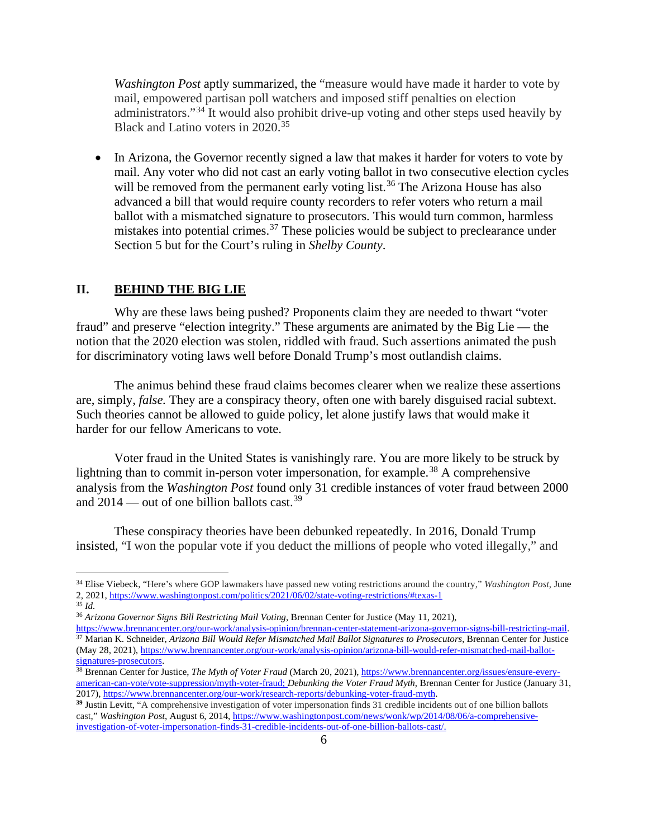*Washington Post* aptly summarized, the "measure would have made it harder to vote by mail, empowered partisan poll watchers and imposed stiff penalties on election administrators."[34](#page-6-0) It would also prohibit drive-up voting and other steps used heavily by Black and Latino voters in 2020.<sup>[35](#page-6-1)</sup>

In Arizona, the Governor recently signed a law that makes it harder for voters to vote by mail. Any voter who did not cast an early voting ballot in two consecutive election cycles will be removed from the permanent early voting list.<sup>[36](#page-6-2)</sup> The Arizona House has also advanced a bill that would require county recorders to refer voters who return a mail ballot with a mismatched signature to prosecutors. This would turn common, harmless mistakes into potential crimes.<sup>[37](#page-6-3)</sup> These policies would be subject to preclearance under Section 5 but for the Court's ruling in *Shelby County*.

### **II. BEHIND THE BIG LIE**

Why are these laws being pushed? Proponents claim they are needed to thwart "voter fraud" and preserve "election integrity." These arguments are animated by the Big Lie — the notion that the 2020 election was stolen, riddled with fraud. Such assertions animated the push for discriminatory voting laws well before Donald Trump's most outlandish claims.

The animus behind these fraud claims becomes clearer when we realize these assertions are, simply, *false.* They are a conspiracy theory, often one with barely disguised racial subtext. Such theories cannot be allowed to guide policy, let alone justify laws that would make it harder for our fellow Americans to vote.

Voter fraud in the United States is vanishingly rare. You are more likely to be struck by lightning than to commit in-person voter impersonation, for example.<sup>[38](#page-6-4)</sup> A comprehensive analysis from the *Washington Post* found only 31 credible instances of voter fraud between 2000 and 2014 — out of one billion ballots cast.<sup>[39](#page-6-5)</sup>

These conspiracy theories have been debunked repeatedly. In 2016, Donald Trump insisted, "I won the popular vote if you deduct the millions of people who voted illegally," and

<span id="page-6-0"></span><sup>34</sup> Elise Viebeck, "Here's where GOP lawmakers have passed new voting restrictions around the country," *Washington Post*, June 2, 2021[, https://www.washingtonpost.com/politics/2021/06/02/state-voting-restrictions/#texas-1](https://www.washingtonpost.com/politics/2021/06/02/state-voting-restrictions/#texas-1)

<span id="page-6-1"></span><sup>35</sup> *Id.*

<span id="page-6-2"></span><sup>36</sup> *Arizona Governor Signs Bill Restricting Mail Voting*, Brennan Center for Justice (May 11, 2021),

<span id="page-6-3"></span>[https://www.brennancenter.org/our-work/analysis-opinion/brennan-center-statement-arizona-governor-signs-bill-restricting-mail.](https://www.brennancenter.org/our-work/analysis-opinion/brennan-center-statement-arizona-governor-signs-bill-restricting-mail)<br><sup>37</sup> Marian K. Schneider, Arizona Bill Would Refer Mismatched Mail Ballot Signatures to Prosecu (May 28, 2021)[, https://www.brennancenter.org/our-work/analysis-opinion/arizona-bill-would-refer-mismatched-mail-ballot](https://www.brennancenter.org/our-work/analysis-opinion/arizona-bill-would-refer-mismatched-mail-ballot-signatures-prosecutors)[signatures-prosecutors.](https://www.brennancenter.org/our-work/analysis-opinion/arizona-bill-would-refer-mismatched-mail-ballot-signatures-prosecutors)<br><sup>38</sup> Brennan Center for Justice, *The Myth of Voter Fraud* (March 20, 2021)[, https://www.brennancenter.org/issues/ensure-every-](https://www.brennancenter.org/issues/ensure-every-american-can-vote/vote-suppression/myth-voter-fraud)

<span id="page-6-4"></span>[american-can-vote/vote-suppression/myth-voter-fraud;](https://www.brennancenter.org/issues/ensure-every-american-can-vote/vote-suppression/myth-voter-fraud) *Debunking the Voter Fraud Myth*, Brennan Center for Justice (January 31, 2017)[, https://www.brennancenter.org/our-work/research-reports/debunking-voter-fraud-myth.](https://www.brennancenter.org/our-work/research-reports/debunking-voter-fraud-myth)

<span id="page-6-5"></span>**<sup>39</sup>** Justin Levitt, "A comprehensive investigation of voter impersonation finds 31 credible incidents out of one billion ballots cast," *Washington Post*, August 6, 2014, [https://www.washingtonpost.com/news/wonk/wp/2014/08/06/a-comprehensive](https://www.washingtonpost.com/news/wonk/wp/2014/08/06/a-comprehensive-investigation-of-voter-impersonation-finds-31-credible-incidents-out-of-one-billion-ballots-cast/)[investigation-of-voter-impersonation-finds-31-credible-incidents-out-of-one-billion-ballots-cast/.](https://www.washingtonpost.com/news/wonk/wp/2014/08/06/a-comprehensive-investigation-of-voter-impersonation-finds-31-credible-incidents-out-of-one-billion-ballots-cast/)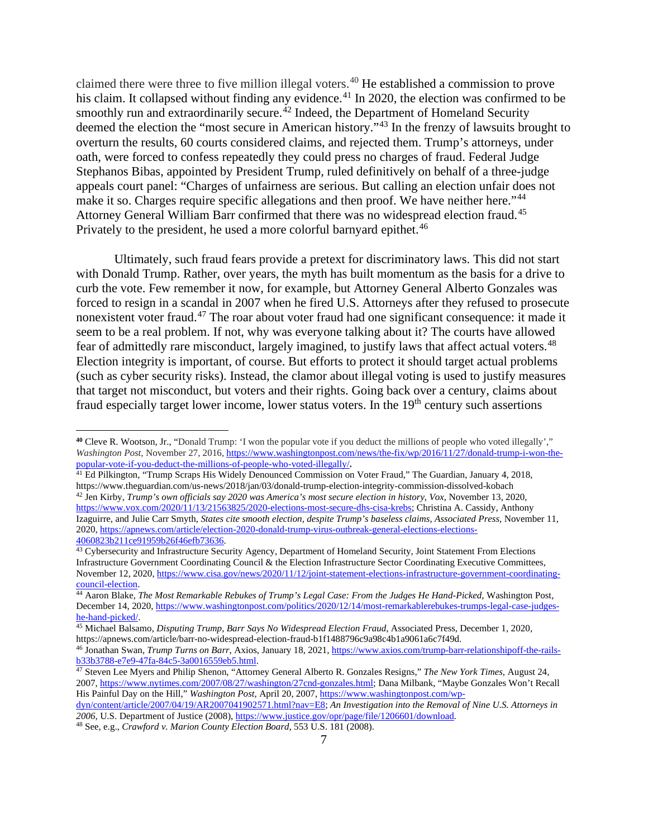claimed there were three to five million illegal voters.<sup>[40](#page-7-0)</sup> He established a commission to prove his claim. It collapsed without finding any evidence.<sup>[41](#page-7-1)</sup> In 2020, the election was confirmed to be smoothly run and extraordinarily secure.<sup> $42$ </sup> Indeed, the Department of Homeland Security deemed the election the "most secure in American history."[43](#page-7-3) In the frenzy of lawsuits brought to overturn the results, 60 courts considered claims, and rejected them. Trump's attorneys, under oath, were forced to confess repeatedly they could press no charges of fraud. Federal Judge Stephanos Bibas, appointed by President Trump, ruled definitively on behalf of a three-judge appeals court panel: "Charges of unfairness are serious. But calling an election unfair does not make it so. Charges require specific allegations and then proof. We have neither here."<sup>[44](#page-7-4)</sup> Attorney General William Barr confirmed that there was no widespread election fraud.[45](#page-7-5) Privately to the president, he used a more colorful barnyard epithet.<sup>[46](#page-7-6)</sup>

Ultimately, such fraud fears provide a pretext for discriminatory laws. This did not start with Donald Trump. Rather, over years, the myth has built momentum as the basis for a drive to curb the vote. Few remember it now, for example, but Attorney General Alberto Gonzales was forced to resign in a scandal in 2007 when he fired U.S. Attorneys after they refused to prosecute nonexistent voter fraud.<sup>[47](#page-7-7)</sup> The roar about voter fraud had one significant consequence: it made it seem to be a real problem. If not, why was everyone talking about it? The courts have allowed fear of admittedly rare misconduct, largely imagined, to justify laws that affect actual voters.<sup>[48](#page-7-8)</sup> Election integrity is important, of course. But efforts to protect it should target actual problems (such as cyber security risks). Instead, the clamor about illegal voting is used to justify measures that target not misconduct, but voters and their rights. Going back over a century, claims about fraud especially target lower income, lower status voters. In the  $19<sup>th</sup>$  century such assertions

<span id="page-7-1"></span><sup>41</sup> Ed Pilkington, "Trump Scraps His Widely Denounced Commission on Voter Fraud," The Guardian, January 4, 2018, https://www.theguardian.com/us-news/2018/jan/03/donald-trump-election-integrity-commission-dissolved-kobach

<span id="page-7-2"></span><sup>42</sup> Jen Kirby, *Trump's own officials say 2020 was America's most secure election in history*, *Vox*, November 13, 2020, [https://www.vox.com/2020/11/13/21563825/2020-elections-most-secure-dhs-cisa-krebs;](https://www.vox.com/2020/11/13/21563825/2020-elections-most-secure-dhs-cisa-krebs) Christina A. Cassidy, Anthony Izaguirre, and Julie Carr Smyth, *States cite smooth election, despite Trump's baseless claims*, *Associated Press*, November 11, 2020[, https://apnews.com/article/election-2020-donald-trump-virus-outbreak-general-elections-elections-](https://apnews.com/article/election-2020-donald-trump-virus-outbreak-general-elections-elections-4060823b211ce91959b26f46efb73636)[4060823b211ce91959b26f46efb73636.](https://apnews.com/article/election-2020-donald-trump-virus-outbreak-general-elections-elections-4060823b211ce91959b26f46efb73636)

<span id="page-7-3"></span><sup>43</sup> Cybersecurity and Infrastructure Security Agency, Department of Homeland Security, Joint Statement From Elections Infrastructure Government Coordinating Council & the Election Infrastructure Sector Coordinating Executive Committees, November 12, 2020, [https://www.cisa.gov/news/2020/11/12/joint-statement-elections-infrastructure-government-coordinating](https://www.cisa.gov/news/2020/11/12/joint-statement-elections-infrastructure-government-coordinating-council-election)[council-election.](https://www.cisa.gov/news/2020/11/12/joint-statement-elections-infrastructure-government-coordinating-council-election)

<span id="page-7-5"></span>https://apnews.com/article/barr-no-widespread-election-fraud-b1f1488796c9a98c4b1a9061a6c7f49d.

<span id="page-7-0"></span>**<sup>40</sup>** Cleve R. Wootson, Jr., "Donald Trump: 'I won the popular vote if you deduct the millions of people who voted illegally'," *Washington Post*, November 27, 2016, [https://www.washingtonpost.com/news/the-fix/wp/2016/11/27/donald-trump-i-won-the](https://www.washingtonpost.com/news/the-fix/wp/2016/11/27/donald-trump-i-won-the-popular-vote-if-you-deduct-the-millions-of-people-who-voted-illegally/)[popular-vote-if-you-deduct-the-millions-of-people-who-voted-illegally/](https://www.washingtonpost.com/news/the-fix/wp/2016/11/27/donald-trump-i-won-the-popular-vote-if-you-deduct-the-millions-of-people-who-voted-illegally/)**.** 

<span id="page-7-4"></span><sup>44</sup> Aaron Blake, *The Most Remarkable Rebukes of Trump's Legal Case: From the Judges He Hand-Picked*, Washington Post, December 14, 2020[, https://www.washingtonpost.com/politics/2020/12/14/most-remarkablerebukes-trumps-legal-case-judges](https://www.washingtonpost.com/politics/2020/12/14/most-remarkablerebukes-trumps-legal-case-judges-he-hand-picked/)[he-hand-picked/.](https://www.washingtonpost.com/politics/2020/12/14/most-remarkablerebukes-trumps-legal-case-judges-he-hand-picked/) 45 Michael Balsamo, *Disputing Trump, Barr Says No Widespread Election Fraud*, Associated Press, December 1, 2020,

<span id="page-7-6"></span><sup>46</sup> Jonathan Swan, *Trump Turns on Barr*, Axios, January 18, 2021[, https://www.axios.com/trump-barr-relationshipoff-the-rails-](https://www.axios.com/trump-barr-relationshipoff-the-rails-b33b3788-e7e9-47fa-84c5-3a0016559eb5.html)

<span id="page-7-7"></span><sup>&</sup>lt;sup>47</sup> Steven Lee Myers and Philip Shenon, "Attorney General Alberto R. Gonzales Resigns," *The New York Times*, August 24, 2007, [https://www.nytimes.com/2007/08/27/washington/27cnd-gonzales.html;](https://www.nytimes.com/2007/08/27/washington/27cnd-gonzales.html) Dana Milbank, "Maybe Gonzales Won't Recall His Painful Day on the Hill," *Washington Post*, April 20, 2007[, https://www.washingtonpost.com/wp-](https://www.washingtonpost.com/wp-dyn/content/article/2007/04/19/AR2007041902571.html?nav=E8)

[dyn/content/article/2007/04/19/AR2007041902571.html?nav=E8;](https://www.washingtonpost.com/wp-dyn/content/article/2007/04/19/AR2007041902571.html?nav=E8) *An Investigation into the Removal of Nine U.S. Attorneys in*  2006, U.S. Department of Justice (2008)[, https://www.justice.gov/opr/page/file/1206601/download.](https://www.justice.gov/opr/page/file/1206601/download)

<span id="page-7-8"></span><sup>48</sup> See, e.g., *Crawford v. Marion County Election Board*, 553 U.S. 181 (2008).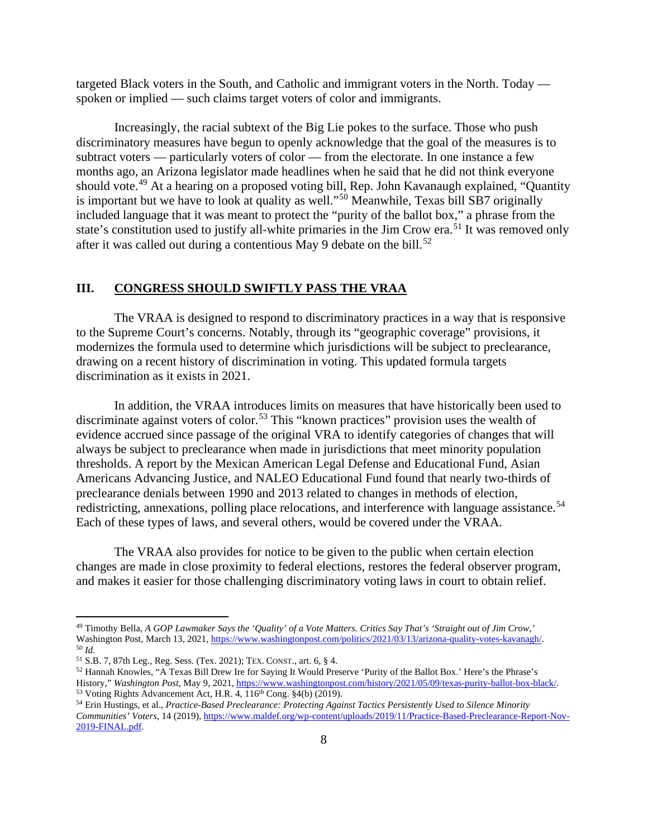targeted Black voters in the South, and Catholic and immigrant voters in the North. Today spoken or implied — such claims target voters of color and immigrants.

Increasingly, the racial subtext of the Big Lie pokes to the surface. Those who push discriminatory measures have begun to openly acknowledge that the goal of the measures is to subtract voters — particularly voters of color — from the electorate. In one instance a few months ago, an Arizona legislator made headlines when he said that he did not think everyone should vote.<sup>[49](#page-8-0)</sup> At a hearing on a proposed voting bill, Rep. John Kavanaugh explained, "Quantity is important but we have to look at quality as well."[50](#page-8-1) Meanwhile, Texas bill SB7 originally included language that it was meant to protect the "purity of the ballot box," a phrase from the state's constitution used to justify all-white primaries in the Jim Crow era.<sup>[51](#page-8-2)</sup> It was removed only after it was called out during a contentious May 9 debate on the bill.<sup>[52](#page-8-3)</sup>

## **III. CONGRESS SHOULD SWIFTLY PASS THE VRAA**

The VRAA is designed to respond to discriminatory practices in a way that is responsive to the Supreme Court's concerns. Notably, through its "geographic coverage" provisions, it modernizes the formula used to determine which jurisdictions will be subject to preclearance, drawing on a recent history of discrimination in voting. This updated formula targets discrimination as it exists in 2021.

In addition, the VRAA introduces limits on measures that have historically been used to discriminate against voters of color.<sup>[53](#page-8-4)</sup> This "known practices" provision uses the wealth of evidence accrued since passage of the original VRA to identify categories of changes that will always be subject to preclearance when made in jurisdictions that meet minority population thresholds. A report by the Mexican American Legal Defense and Educational Fund, Asian Americans Advancing Justice, and NALEO Educational Fund found that nearly two-thirds of preclearance denials between 1990 and 2013 related to changes in methods of election, redistricting, annexations, polling place relocations, and interference with language assistance.<sup>[54](#page-8-5)</sup> Each of these types of laws, and several others, would be covered under the VRAA.

The VRAA also provides for notice to be given to the public when certain election changes are made in close proximity to federal elections, restores the federal observer program, and makes it easier for those challenging discriminatory voting laws in court to obtain relief.

<span id="page-8-0"></span><sup>49</sup> Timothy Bella, *A GOP Lawmaker Says the 'Quality' of a Vote Matters. Critics Say That's 'Straight out of Jim Crow,'* Washington Post, March 13, 2021[, https://www.washingtonpost.com/politics/2021/03/13/arizona-quality-votes-kavanagh/.](https://www.washingtonpost.com/politics/2021/03/13/arizona-quality-votes-kavanagh/) 50 *Id.* 

<span id="page-8-2"></span><span id="page-8-1"></span><sup>51</sup> S.B. 7, 87th Leg., Reg. Sess. (Tex. 2021); TEX. CONST., art. 6, § 4.

<span id="page-8-3"></span><sup>52</sup> Hannah Knowles, "A Texas Bill Drew Ire for Saying It Would Preserve 'Purity of the Ballot Box.' Here's the Phrase's History," *Washington Post*, May 9, 2021[, https://www.washingtonpost.com/history/2021/05/09/texas-purity-ballot-box-black/.](https://www.washingtonpost.com/history/2021/05/09/texas-purity-ballot-box-black/) 53 Voting Rights Advancement Act, H.R. 4, 116th Cong. §4(b) (2019).

<span id="page-8-5"></span><span id="page-8-4"></span><sup>54</sup> Erin Hustings, et al., *Practice-Based Preclearance: Protecting Against Tactics Persistently Used to Silence Minority Communities' Voters*, 14 (2019)[, https://www.maldef.org/wp-content/uploads/2019/11/Practice-Based-Preclearance-Report-Nov-](https://www.maldef.org/wp-content/uploads/2019/11/Practice-Based-Preclearance-Report-Nov-2019-FINAL.pdf)[2019-FINAL.pdf.](https://www.maldef.org/wp-content/uploads/2019/11/Practice-Based-Preclearance-Report-Nov-2019-FINAL.pdf)